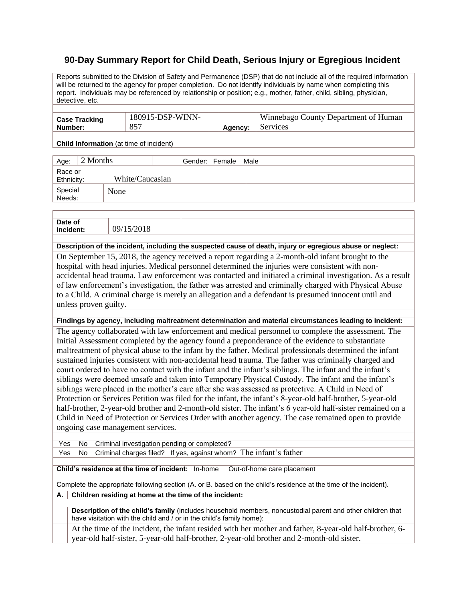## **90-Day Summary Report for Child Death, Serious Injury or Egregious Incident**

Reports submitted to the Division of Safety and Permanence (DSP) that do not include all of the required information will be returned to the agency for proper completion. Do not identify individuals by name when completing this report. Individuals may be referenced by relationship or position; e.g., mother, father, child, sibling, physician, detective, etc.

| <b>Case Tracking</b> | 180915-DSP-WINN- |         | Winnebago County Department of Human |
|----------------------|------------------|---------|--------------------------------------|
| Number:              |                  | Agency: | Services                             |

**Child Information** (at time of incident)

| Age:                  | 2 Months |                 | Gender: Female | Male |
|-----------------------|----------|-----------------|----------------|------|
| Race or<br>Ethnicity: |          | White/Caucasian |                |      |
| Special<br>Needs:     |          | None            |                |      |

| Date of |  |  |
|---------|--|--|
| Inc     |  |  |

**Description of the incident, including the suspected cause of death, injury or egregious abuse or neglect:**

On September 15, 2018, the agency received a report regarding a 2-month-old infant brought to the hospital with head injuries. Medical personnel determined the injuries were consistent with nonaccidental head trauma. Law enforcement was contacted and initiated a criminal investigation. As a result of law enforcement's investigation, the father was arrested and criminally charged with Physical Abuse to a Child. A criminal charge is merely an allegation and a defendant is presumed innocent until and unless proven guilty.

**Findings by agency, including maltreatment determination and material circumstances leading to incident:**

The agency collaborated with law enforcement and medical personnel to complete the assessment. The Initial Assessment completed by the agency found a preponderance of the evidence to substantiate maltreatment of physical abuse to the infant by the father. Medical professionals determined the infant sustained injuries consistent with non-accidental head trauma. The father was criminally charged and court ordered to have no contact with the infant and the infant's siblings. The infant and the infant's siblings were deemed unsafe and taken into Temporary Physical Custody. The infant and the infant's siblings were placed in the mother's care after she was assessed as protective. A Child in Need of Protection or Services Petition was filed for the infant, the infant's 8-year-old half-brother, 5-year-old half-brother, 2-year-old brother and 2-month-old sister. The infant's 6 year-old half-sister remained on a Child in Need of Protection or Services Order with another agency. The case remained open to provide ongoing case management services.

Yes No Criminal investigation pending or completed?

Yes No Criminal charges filed? If yes, against whom? The infant's father

**Child's residence at the time of incident:** In-home Out-of-home care placement

Complete the appropriate following section (A. or B. based on the child's residence at the time of the incident).

## **A. Children residing at home at the time of the incident:**

**Description of the child's family** (includes household members, noncustodial parent and other children that have visitation with the child and / or in the child's family home):

At the time of the incident, the infant resided with her mother and father, 8-year-old half-brother, 6 year-old half-sister, 5-year-old half-brother, 2-year-old brother and 2-month-old sister.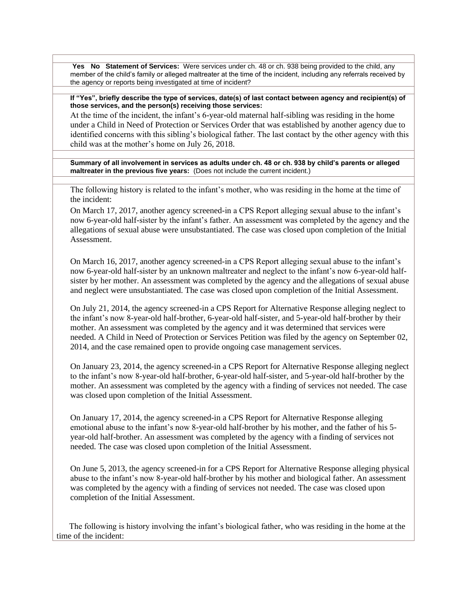**Yes No Statement of Services:** Were services under ch. 48 or ch. 938 being provided to the child, any member of the child's family or alleged maltreater at the time of the incident, including any referrals received by the agency or reports being investigated at time of incident?

**If "Yes", briefly describe the type of services, date(s) of last contact between agency and recipient(s) of those services, and the person(s) receiving those services:**

At the time of the incident, the infant's 6-year-old maternal half-sibling was residing in the home under a Child in Need of Protection or Services Order that was established by another agency due to identified concerns with this sibling's biological father. The last contact by the other agency with this child was at the mother's home on July 26, 2018.

**Summary of all involvement in services as adults under ch. 48 or ch. 938 by child's parents or alleged maltreater in the previous five years:** (Does not include the current incident.)

The following history is related to the infant's mother, who was residing in the home at the time of the incident:

On March 17, 2017, another agency screened-in a CPS Report alleging sexual abuse to the infant's now 6-year-old half-sister by the infant's father. An assessment was completed by the agency and the allegations of sexual abuse were unsubstantiated. The case was closed upon completion of the Initial **Assessment** 

On March 16, 2017, another agency screened-in a CPS Report alleging sexual abuse to the infant's now 6-year-old half-sister by an unknown maltreater and neglect to the infant's now 6-year-old halfsister by her mother. An assessment was completed by the agency and the allegations of sexual abuse and neglect were unsubstantiated. The case was closed upon completion of the Initial Assessment.

On July 21, 2014, the agency screened-in a CPS Report for Alternative Response alleging neglect to the infant's now 8-year-old half-brother, 6-year-old half-sister, and 5-year-old half-brother by their mother. An assessment was completed by the agency and it was determined that services were needed. A Child in Need of Protection or Services Petition was filed by the agency on September 02, 2014, and the case remained open to provide ongoing case management services.

On January 23, 2014, the agency screened-in a CPS Report for Alternative Response alleging neglect to the infant's now 8-year-old half-brother, 6-year-old half-sister, and 5-year-old half-brother by the mother. An assessment was completed by the agency with a finding of services not needed. The case was closed upon completion of the Initial Assessment.

On January 17, 2014, the agency screened-in a CPS Report for Alternative Response alleging emotional abuse to the infant's now 8-year-old half-brother by his mother, and the father of his 5 year-old half-brother. An assessment was completed by the agency with a finding of services not needed. The case was closed upon completion of the Initial Assessment.

On June 5, 2013, the agency screened-in for a CPS Report for Alternative Response alleging physical abuse to the infant's now 8-year-old half-brother by his mother and biological father. An assessment was completed by the agency with a finding of services not needed. The case was closed upon completion of the Initial Assessment.

 The following is history involving the infant's biological father, who was residing in the home at the time of the incident: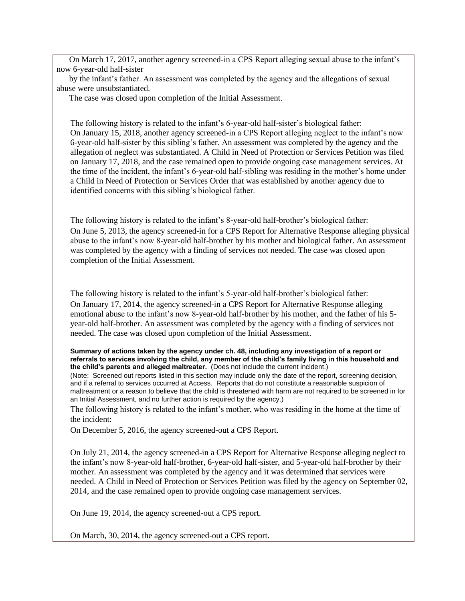On March 17, 2017, another agency screened-in a CPS Report alleging sexual abuse to the infant's now 6-year-old half-sister

 by the infant's father. An assessment was completed by the agency and the allegations of sexual abuse were unsubstantiated.

The case was closed upon completion of the Initial Assessment.

The following history is related to the infant's 6-year-old half-sister's biological father: On January 15, 2018, another agency screened-in a CPS Report alleging neglect to the infant's now 6-year-old half-sister by this sibling's father. An assessment was completed by the agency and the allegation of neglect was substantiated. A Child in Need of Protection or Services Petition was filed on January 17, 2018, and the case remained open to provide ongoing case management services. At the time of the incident, the infant's 6-year-old half-sibling was residing in the mother's home under a Child in Need of Protection or Services Order that was established by another agency due to identified concerns with this sibling's biological father.

The following history is related to the infant's 8-year-old half-brother's biological father: On June 5, 2013, the agency screened-in for a CPS Report for Alternative Response alleging physical abuse to the infant's now 8-year-old half-brother by his mother and biological father. An assessment was completed by the agency with a finding of services not needed. The case was closed upon completion of the Initial Assessment.

The following history is related to the infant's 5-year-old half-brother's biological father: On January 17, 2014, the agency screened-in a CPS Report for Alternative Response alleging emotional abuse to the infant's now 8-year-old half-brother by his mother, and the father of his 5 year-old half-brother. An assessment was completed by the agency with a finding of services not needed. The case was closed upon completion of the Initial Assessment.

**Summary of actions taken by the agency under ch. 48, including any investigation of a report or referrals to services involving the child, any member of the child's family living in this household and the child's parents and alleged maltreater.** (Does not include the current incident.)

(Note: Screened out reports listed in this section may include only the date of the report, screening decision, and if a referral to services occurred at Access. Reports that do not constitute a reasonable suspicion of maltreatment or a reason to believe that the child is threatened with harm are not required to be screened in for an Initial Assessment, and no further action is required by the agency.)

The following history is related to the infant's mother, who was residing in the home at the time of the incident:

On December 5, 2016, the agency screened-out a CPS Report.

On July 21, 2014, the agency screened-in a CPS Report for Alternative Response alleging neglect to the infant's now 8-year-old half-brother, 6-year-old half-sister, and 5-year-old half-brother by their mother. An assessment was completed by the agency and it was determined that services were needed. A Child in Need of Protection or Services Petition was filed by the agency on September 02, 2014, and the case remained open to provide ongoing case management services.

On June 19, 2014, the agency screened-out a CPS report.

On March, 30, 2014, the agency screened-out a CPS report.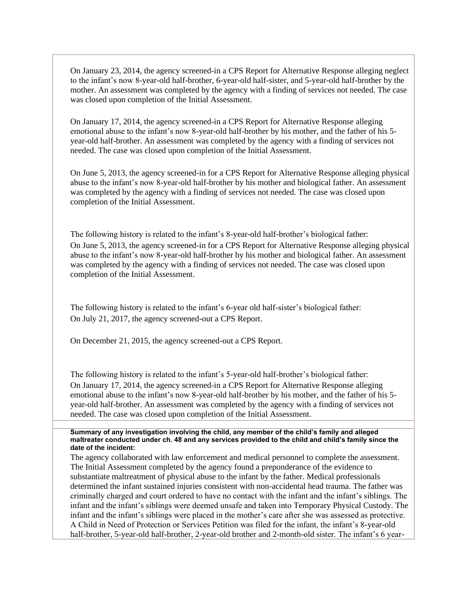On January 23, 2014, the agency screened-in a CPS Report for Alternative Response alleging neglect to the infant's now 8-year-old half-brother, 6-year-old half-sister, and 5-year-old half-brother by the mother. An assessment was completed by the agency with a finding of services not needed. The case was closed upon completion of the Initial Assessment.

On January 17, 2014, the agency screened-in a CPS Report for Alternative Response alleging emotional abuse to the infant's now 8-year-old half-brother by his mother, and the father of his 5 year-old half-brother. An assessment was completed by the agency with a finding of services not needed. The case was closed upon completion of the Initial Assessment.

On June 5, 2013, the agency screened-in for a CPS Report for Alternative Response alleging physical abuse to the infant's now 8-year-old half-brother by his mother and biological father. An assessment was completed by the agency with a finding of services not needed. The case was closed upon completion of the Initial Assessment.

The following history is related to the infant's 8-year-old half-brother's biological father: On June 5, 2013, the agency screened-in for a CPS Report for Alternative Response alleging physical abuse to the infant's now 8-year-old half-brother by his mother and biological father. An assessment was completed by the agency with a finding of services not needed. The case was closed upon completion of the Initial Assessment.

The following history is related to the infant's 6-year old half-sister's biological father: On July 21, 2017, the agency screened-out a CPS Report.

On December 21, 2015, the agency screened-out a CPS Report.

The following history is related to the infant's 5-year-old half-brother's biological father: On January 17, 2014, the agency screened-in a CPS Report for Alternative Response alleging emotional abuse to the infant's now 8-year-old half-brother by his mother, and the father of his 5 year-old half-brother. An assessment was completed by the agency with a finding of services not needed. The case was closed upon completion of the Initial Assessment.

**Summary of any investigation involving the child, any member of the child's family and alleged maltreater conducted under ch. 48 and any services provided to the child and child's family since the date of the incident:**

The agency collaborated with law enforcement and medical personnel to complete the assessment. The Initial Assessment completed by the agency found a preponderance of the evidence to substantiate maltreatment of physical abuse to the infant by the father. Medical professionals determined the infant sustained injuries consistent with non-accidental head trauma. The father was criminally charged and court ordered to have no contact with the infant and the infant's siblings. The infant and the infant's siblings were deemed unsafe and taken into Temporary Physical Custody. The infant and the infant's siblings were placed in the mother's care after she was assessed as protective. A Child in Need of Protection or Services Petition was filed for the infant, the infant's 8-year-old half-brother, 5-year-old half-brother, 2-year-old brother and 2-month-old sister. The infant's 6 year